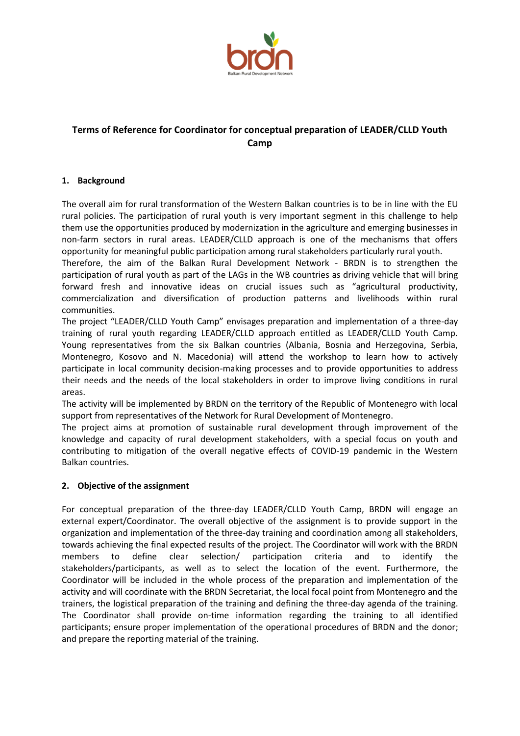

# **Terms of Reference for Coordinator for conceptual preparation of LEADER/CLLD Youth Camp**

### **1. Background**

The overall aim for rural transformation of the Western Balkan countries is to be in line with the EU rural policies. The participation of rural youth is very important segment in this challenge to help them use the opportunities produced by modernization in the agriculture and emerging businesses in non-farm sectors in rural areas. LEADER/CLLD approach is one of the mechanisms that offers opportunity for meaningful public participation among rural stakeholders particularly rural youth.

Therefore, the aim of the Balkan Rural Development Network - BRDN is to strengthen the participation of rural youth as part of the LAGs in the WB countries as driving vehicle that will bring forward fresh and innovative ideas on crucial issues such as "agricultural productivity, commercialization and diversification of production patterns and livelihoods within rural communities.

The project "LEADER/CLLD Youth Camp" envisages preparation and implementation of a three-day training of rural youth regarding LEADER/CLLD approach entitled as LEADER/CLLD Youth Camp. Young representatives from the six Balkan countries (Albania, Bosnia and Herzegovina, Serbia, Montenegro, Kosovo and N. Macedonia) will attend the workshop to learn how to actively participate in local community decision-making processes and to provide opportunities to address their needs and the needs of the local stakeholders in order to improve living conditions in rural areas.

The activity will be implemented by BRDN on the territory of the Republic of Montenegro with local support from representatives of the Network for Rural Development of Montenegro.

The project aims at promotion of sustainable rural development through improvement of the knowledge and capacity of rural development stakeholders, with a special focus on youth and contributing to mitigation of the overall negative effects of COVID-19 pandemic in the Western Balkan countries.

#### **2. Objective of the assignment**

For conceptual preparation of the three-day LEADER/CLLD Youth Camp, BRDN will engage an external expert/Coordinator. The overall objective of the assignment is to provide support in the organization and implementation of the three-day training and coordination among all stakeholders, towards achieving the final expected results of the project. The Coordinator will work with the BRDN members to define clear selection/ participation criteria and to identify the stakeholders/participants, as well as to select the location of the event. Furthermore, the Coordinator will be included in the whole process of the preparation and implementation of the activity and will coordinate with the BRDN Secretariat, the local focal point from Montenegro and the trainers, the logistical preparation of the training and defining the three-day agenda of the training. The Coordinator shall provide on-time information regarding the training to all identified participants; ensure proper implementation of the operational procedures of BRDN and the donor; and prepare the reporting material of the training.